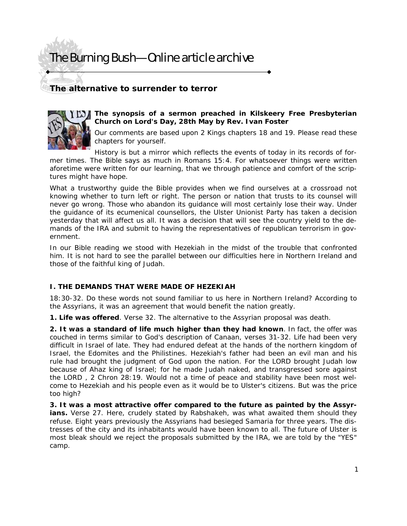# The Burning Bush—Online article archive

## **The alternative to surrender to terror**



#### **The synopsis of a sermon preached in Kilskeery Free Presbyterian Church on Lord's Day, 28th May by Rev. Ivan Foster**

Our comments are based upon 2 Kings chapters 18 and 19. Please read these chapters for yourself.

History is but a mirror which reflects the events of today in its records of former times. The Bible says as much in Romans 15:4. *For whatsoever things were written aforetime were written for our learning, that we through patience and comfort of the scriptures might have hope*.

What a trustworthy guide the Bible provides when we find ourselves at a crossroad not knowing whether to turn left or right. The person or nation that trusts to its counsel will never go wrong. Those who abandon its guidance will most certainly lose their way. Under the guidance of its ecumenical counsellors, the Ulster Unionist Party has taken a decision yesterday that will affect us all. It was a decision that will see the country yield to the demands of the IRA and submit to having the representatives of republican terrorism in government.

In our Bible reading we stood with Hezekiah in the midst of the trouble that confronted him. It is not hard to see the parallel between our difficulties here in Northern Ireland and those of the faithful king of Judah.

#### **I. THE DEMANDS THAT WERE MADE OF HEZEKIAH**

18:30-32. Do these words not sound familiar to us here in Northern Ireland? According to the Assyrians, it was an agreement that would benefit the nation greatly.

**1. Life was offered**. Verse 32. The alternative to the Assyrian proposal was death.

**2. It was a standard of life much higher than they had known**. In fact, the offer was couched in terms similar to God's description of Canaan, verses 31-32. Life had been very difficult in Israel of late. They had endured defeat at the hands of the northern kingdom of Israel, the Edomites and the Philistines. Hezekiah's father had been an evil man and his rule had brought the judgment of God upon the nation. *For the LORD brought Judah low because of Ahaz king of Israel; for he made Judah naked, and transgressed sore against the LORD* , 2 Chron 28:19. Would not a time of peace and stability have been most welcome to Hezekiah and his people even as it would be to Ulster's citizens. But was the price too high?

**3. It was a most attractive offer compared to the future as painted by the Assyr**ians. Verse 27. Here, crudely stated by Rabshakeh, was what awaited them should they refuse. Eight years previously the Assyrians had besieged Samaria for three years. The distresses of the city and its inhabitants would have been known to all. The future of Ulster is most bleak should we reject the proposals submitted by the IRA, we are told by the "YES" camp.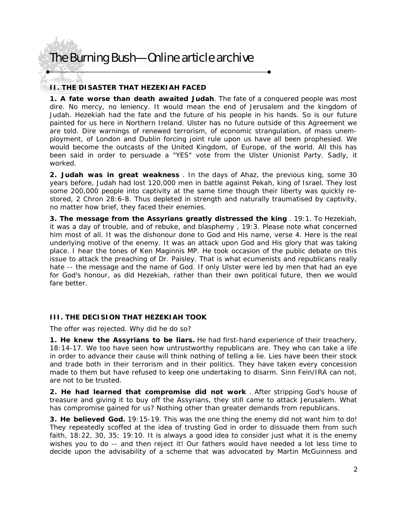# The Burning Bush—Online article archive

### **II. THE DISASTER THAT HEZEKIAH FACED**

**1. A fate worse than death awaited Judah**. The fate of a conquered people was most dire. No mercy, no leniency. It would mean the end of Jerusalem and the kingdom of Judah. Hezekiah had the fate and the future of his people in his hands. So is our future painted for us here in Northern Ireland. Ulster has no future outside of this Agreement we are told. Dire warnings of renewed terrorism, of economic strangulation, of mass unemployment, of London and Dublin forcing joint rule upon us have all been prophesied. We would become the outcasts of the United Kingdom, of Europe, of the world. All this has been said in order to persuade a "YES" vote from the Ulster Unionist Party. Sadly, it worked.

**2. Judah was in great weakness** . In the days of Ahaz, the previous king, some 30 years before, Judah had lost 120,000 men in battle against Pekah, king of Israel. They lost some 200,000 people into captivity at the same time though their liberty was quickly restored, 2 Chron 28:6-8. Thus depleted in strength and naturally traumatised by captivity, no matter how brief, they faced their enemies.

**3. The message from the Assyrians greatly distressed the king** . 19:1. To Hezekiah, it was *a day of trouble, and of rebuke, and blasphemy* , 19:3. Please note what concerned him most of all. It was the dishonour done to God and His name, verse 4. Here is the real underlying motive of the enemy. It was an attack upon God and His glory that was taking place. I hear the tones of Ken Maginnis MP. He took occasion of the public debate on this issue to attack the preaching of Dr. Paisley. That is what ecumenists and republicans really hate -- the message and the name of God. If only Ulster were led by men that had an eye for God's honour, as did Hezekiah, rather than their own political future, then we would fare better

#### **III. THE DECISION THAT HEZEKIAH TOOK**

The offer was rejected. Why did he do so?

**1. He knew the Assyrians to be liars.** He had first-hand experience of their treachery, 18:14-17. We too have seen how untrustworthy republicans are. They who can take a life in order to advance their cause will think nothing of telling a lie. Lies have been their stock and trade both in their terrorism and in their politics. They have taken every concession made to them but have refused to keep one undertaking to disarm. Sinn Fein/IRA can not, are not to be trusted.

**2. He had learned that compromise did not work** . After stripping God's house of treasure and giving it to buy off the Assyrians, they still came to attack Jerusalem. What has compromise gained for us? Nothing other than greater demands from republicans.

**3. He believed God.** 19:15-19. This was the one thing the enemy did not want him to do! They repeatedly scoffed at the idea of trusting God in order to dissuade them from such faith, 18:22, 30, 35; 19:10. It is always a good idea to consider just what it is the enemy wishes you to do -- and then reject it! Our fathers would have needed a lot less time to decide upon the advisability of a scheme that was advocated by Martin McGuinness and